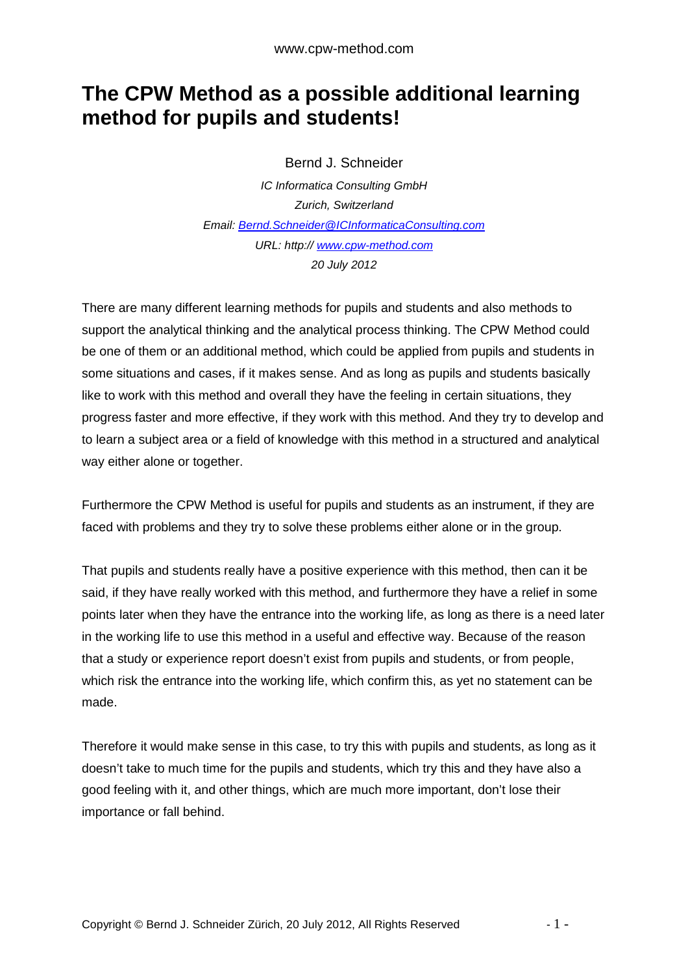## **The CPW Method as a possible additional learning method for pupils and students!**

Bernd J. Schneider

IC Informatica Consulting GmbH Zurich, Switzerland Email: Bernd.Schneider@ICInformaticaConsulting.com URL: http:// www.cpw-method.com 20 July 2012

There are many different learning methods for pupils and students and also methods to support the analytical thinking and the analytical process thinking. The CPW Method could be one of them or an additional method, which could be applied from pupils and students in some situations and cases, if it makes sense. And as long as pupils and students basically like to work with this method and overall they have the feeling in certain situations, they progress faster and more effective, if they work with this method. And they try to develop and to learn a subject area or a field of knowledge with this method in a structured and analytical way either alone or together.

Furthermore the CPW Method is useful for pupils and students as an instrument, if they are faced with problems and they try to solve these problems either alone or in the group.

That pupils and students really have a positive experience with this method, then can it be said, if they have really worked with this method, and furthermore they have a relief in some points later when they have the entrance into the working life, as long as there is a need later in the working life to use this method in a useful and effective way. Because of the reason that a study or experience report doesn't exist from pupils and students, or from people, which risk the entrance into the working life, which confirm this, as yet no statement can be made.

Therefore it would make sense in this case, to try this with pupils and students, as long as it doesn't take to much time for the pupils and students, which try this and they have also a good feeling with it, and other things, which are much more important, don't lose their importance or fall behind.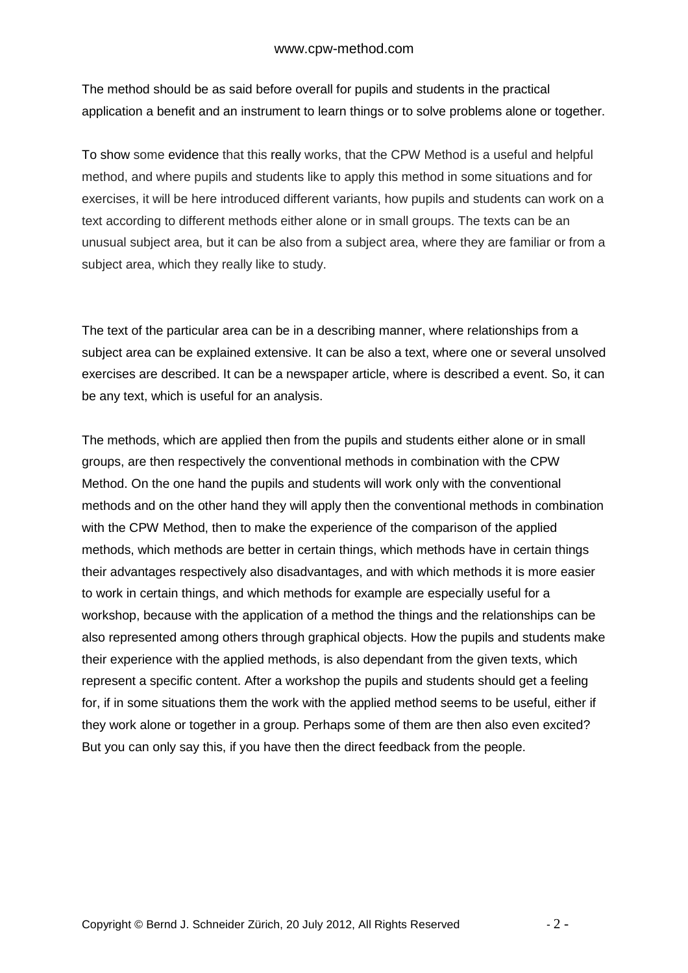The method should be as said before overall for pupils and students in the practical application a benefit and an instrument to learn things or to solve problems alone or together.

To show some evidence that this really works, that the CPW Method is a useful and helpful method, and where pupils and students like to apply this method in some situations and for exercises, it will be here introduced different variants, how pupils and students can work on a text according to different methods either alone or in small groups. The texts can be an unusual subject area, but it can be also from a subject area, where they are familiar or from a subject area, which they really like to study.

The text of the particular area can be in a describing manner, where relationships from a subject area can be explained extensive. It can be also a text, where one or several unsolved exercises are described. It can be a newspaper article, where is described a event. So, it can be any text, which is useful for an analysis.

The methods, which are applied then from the pupils and students either alone or in small groups, are then respectively the conventional methods in combination with the CPW Method. On the one hand the pupils and students will work only with the conventional methods and on the other hand they will apply then the conventional methods in combination with the CPW Method, then to make the experience of the comparison of the applied methods, which methods are better in certain things, which methods have in certain things their advantages respectively also disadvantages, and with which methods it is more easier to work in certain things, and which methods for example are especially useful for a workshop, because with the application of a method the things and the relationships can be also represented among others through graphical objects. How the pupils and students make their experience with the applied methods, is also dependant from the given texts, which represent a specific content. After a workshop the pupils and students should get a feeling for, if in some situations them the work with the applied method seems to be useful, either if they work alone or together in a group. Perhaps some of them are then also even excited? But you can only say this, if you have then the direct feedback from the people.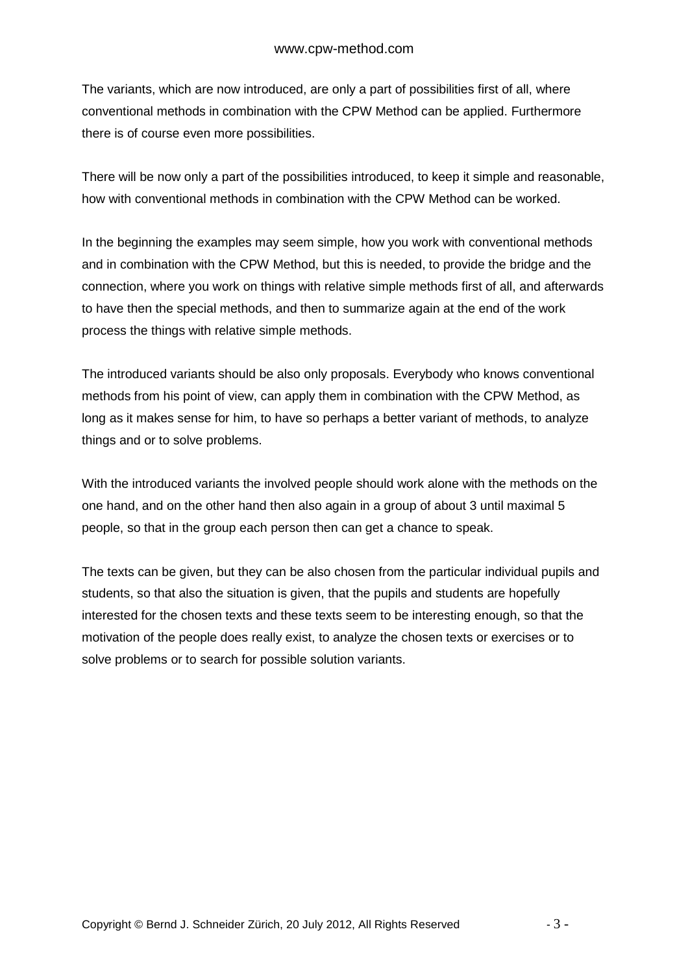The variants, which are now introduced, are only a part of possibilities first of all, where conventional methods in combination with the CPW Method can be applied. Furthermore there is of course even more possibilities.

There will be now only a part of the possibilities introduced, to keep it simple and reasonable, how with conventional methods in combination with the CPW Method can be worked.

In the beginning the examples may seem simple, how you work with conventional methods and in combination with the CPW Method, but this is needed, to provide the bridge and the connection, where you work on things with relative simple methods first of all, and afterwards to have then the special methods, and then to summarize again at the end of the work process the things with relative simple methods.

The introduced variants should be also only proposals. Everybody who knows conventional methods from his point of view, can apply them in combination with the CPW Method, as long as it makes sense for him, to have so perhaps a better variant of methods, to analyze things and or to solve problems.

With the introduced variants the involved people should work alone with the methods on the one hand, and on the other hand then also again in a group of about 3 until maximal 5 people, so that in the group each person then can get a chance to speak.

The texts can be given, but they can be also chosen from the particular individual pupils and students, so that also the situation is given, that the pupils and students are hopefully interested for the chosen texts and these texts seem to be interesting enough, so that the motivation of the people does really exist, to analyze the chosen texts or exercises or to solve problems or to search for possible solution variants.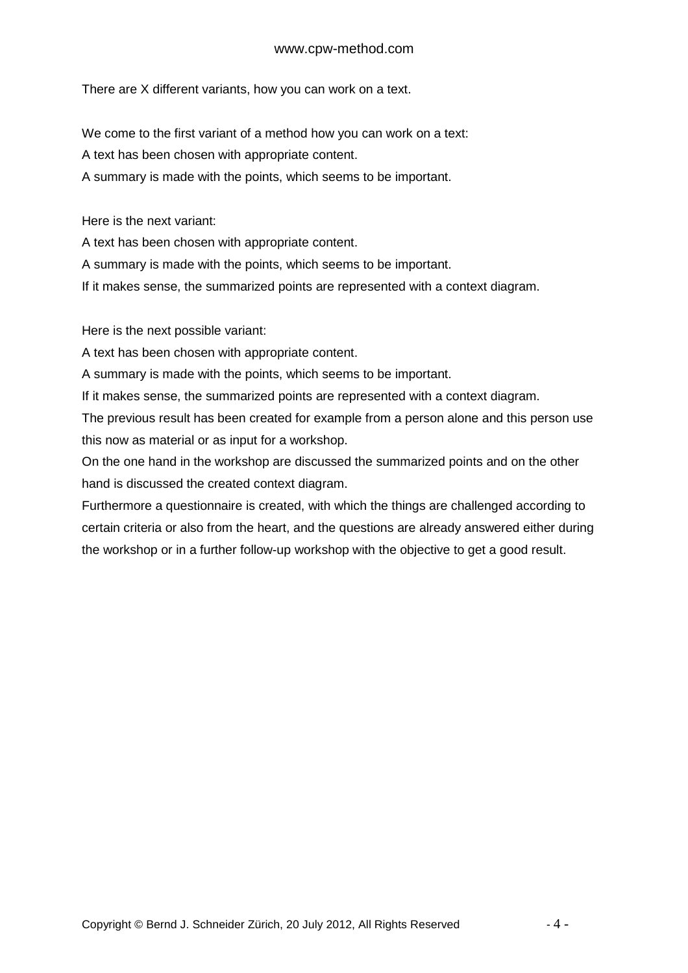## www.cpw-method.com

There are X different variants, how you can work on a text.

We come to the first variant of a method how you can work on a text:

A text has been chosen with appropriate content.

A summary is made with the points, which seems to be important.

Here is the next variant:

A text has been chosen with appropriate content.

A summary is made with the points, which seems to be important.

If it makes sense, the summarized points are represented with a context diagram.

Here is the next possible variant:

A text has been chosen with appropriate content.

A summary is made with the points, which seems to be important.

If it makes sense, the summarized points are represented with a context diagram.

The previous result has been created for example from a person alone and this person use this now as material or as input for a workshop.

On the one hand in the workshop are discussed the summarized points and on the other hand is discussed the created context diagram.

Furthermore a questionnaire is created, with which the things are challenged according to certain criteria or also from the heart, and the questions are already answered either during the workshop or in a further follow-up workshop with the objective to get a good result.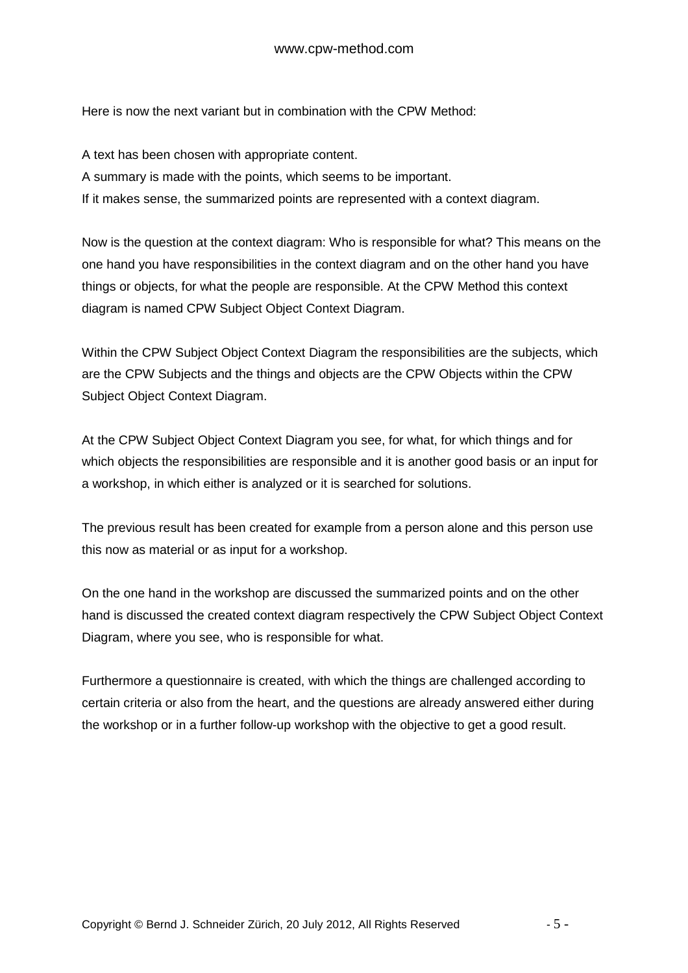Here is now the next variant but in combination with the CPW Method:

A text has been chosen with appropriate content. A summary is made with the points, which seems to be important. If it makes sense, the summarized points are represented with a context diagram.

Now is the question at the context diagram: Who is responsible for what? This means on the one hand you have responsibilities in the context diagram and on the other hand you have things or objects, for what the people are responsible. At the CPW Method this context diagram is named CPW Subject Object Context Diagram.

Within the CPW Subject Object Context Diagram the responsibilities are the subjects, which are the CPW Subjects and the things and objects are the CPW Objects within the CPW Subject Object Context Diagram.

At the CPW Subject Object Context Diagram you see, for what, for which things and for which objects the responsibilities are responsible and it is another good basis or an input for a workshop, in which either is analyzed or it is searched for solutions.

The previous result has been created for example from a person alone and this person use this now as material or as input for a workshop.

On the one hand in the workshop are discussed the summarized points and on the other hand is discussed the created context diagram respectively the CPW Subject Object Context Diagram, where you see, who is responsible for what.

Furthermore a questionnaire is created, with which the things are challenged according to certain criteria or also from the heart, and the questions are already answered either during the workshop or in a further follow-up workshop with the objective to get a good result.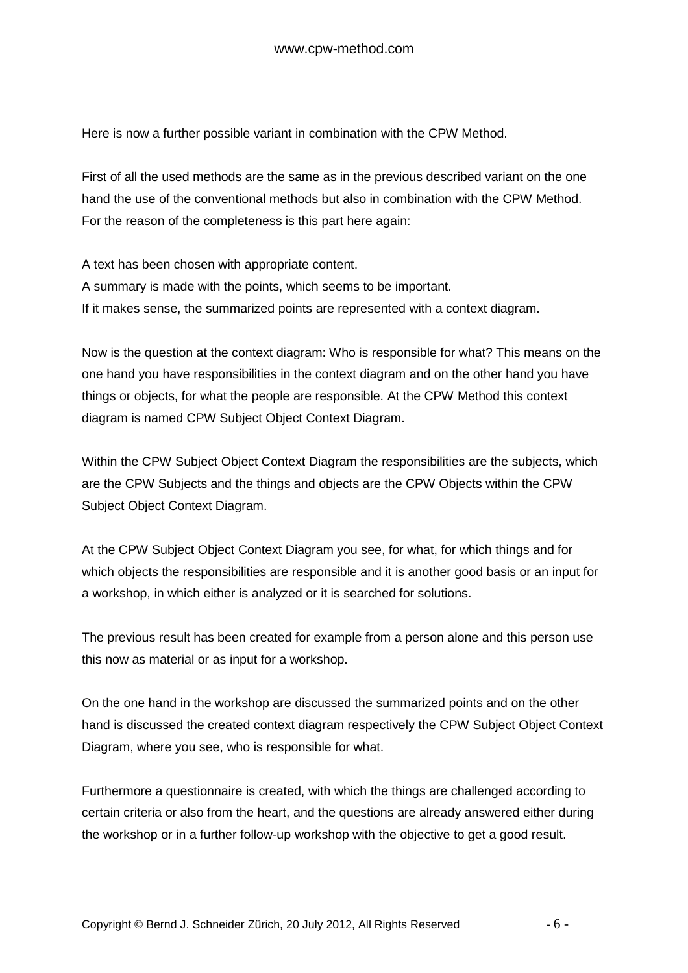Here is now a further possible variant in combination with the CPW Method.

First of all the used methods are the same as in the previous described variant on the one hand the use of the conventional methods but also in combination with the CPW Method. For the reason of the completeness is this part here again:

A text has been chosen with appropriate content. A summary is made with the points, which seems to be important. If it makes sense, the summarized points are represented with a context diagram.

Now is the question at the context diagram: Who is responsible for what? This means on the one hand you have responsibilities in the context diagram and on the other hand you have things or objects, for what the people are responsible. At the CPW Method this context diagram is named CPW Subject Object Context Diagram.

Within the CPW Subject Object Context Diagram the responsibilities are the subjects, which are the CPW Subjects and the things and objects are the CPW Objects within the CPW Subject Object Context Diagram.

At the CPW Subject Object Context Diagram you see, for what, for which things and for which objects the responsibilities are responsible and it is another good basis or an input for a workshop, in which either is analyzed or it is searched for solutions.

The previous result has been created for example from a person alone and this person use this now as material or as input for a workshop.

On the one hand in the workshop are discussed the summarized points and on the other hand is discussed the created context diagram respectively the CPW Subject Object Context Diagram, where you see, who is responsible for what.

Furthermore a questionnaire is created, with which the things are challenged according to certain criteria or also from the heart, and the questions are already answered either during the workshop or in a further follow-up workshop with the objective to get a good result.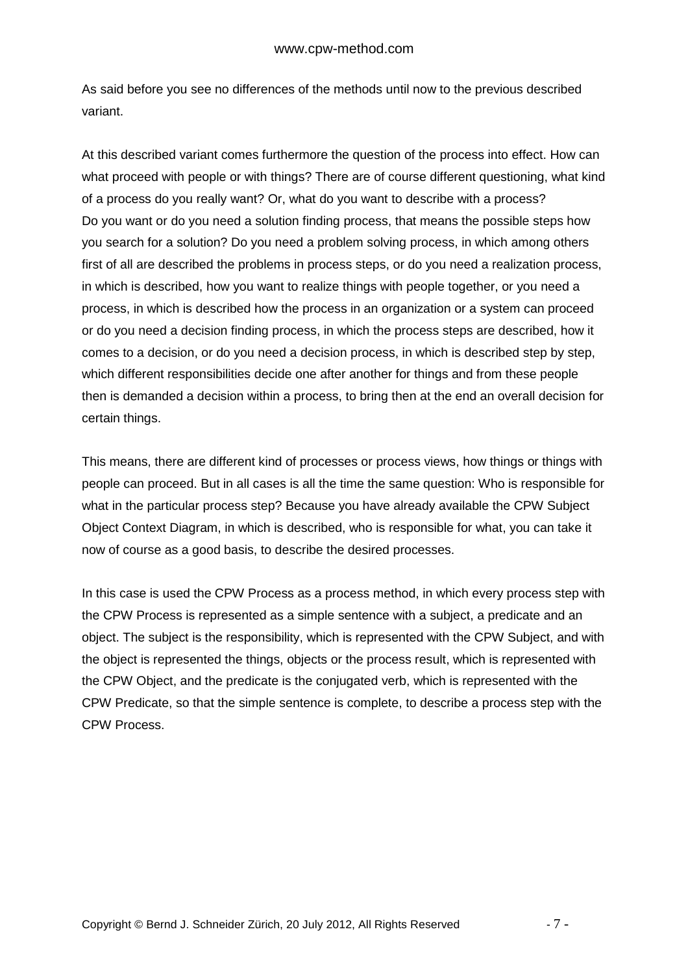As said before you see no differences of the methods until now to the previous described variant.

At this described variant comes furthermore the question of the process into effect. How can what proceed with people or with things? There are of course different questioning, what kind of a process do you really want? Or, what do you want to describe with a process? Do you want or do you need a solution finding process, that means the possible steps how you search for a solution? Do you need a problem solving process, in which among others first of all are described the problems in process steps, or do you need a realization process, in which is described, how you want to realize things with people together, or you need a process, in which is described how the process in an organization or a system can proceed or do you need a decision finding process, in which the process steps are described, how it comes to a decision, or do you need a decision process, in which is described step by step, which different responsibilities decide one after another for things and from these people then is demanded a decision within a process, to bring then at the end an overall decision for certain things.

This means, there are different kind of processes or process views, how things or things with people can proceed. But in all cases is all the time the same question: Who is responsible for what in the particular process step? Because you have already available the CPW Subject Object Context Diagram, in which is described, who is responsible for what, you can take it now of course as a good basis, to describe the desired processes.

In this case is used the CPW Process as a process method, in which every process step with the CPW Process is represented as a simple sentence with a subject, a predicate and an object. The subject is the responsibility, which is represented with the CPW Subject, and with the object is represented the things, objects or the process result, which is represented with the CPW Object, and the predicate is the conjugated verb, which is represented with the CPW Predicate, so that the simple sentence is complete, to describe a process step with the CPW Process.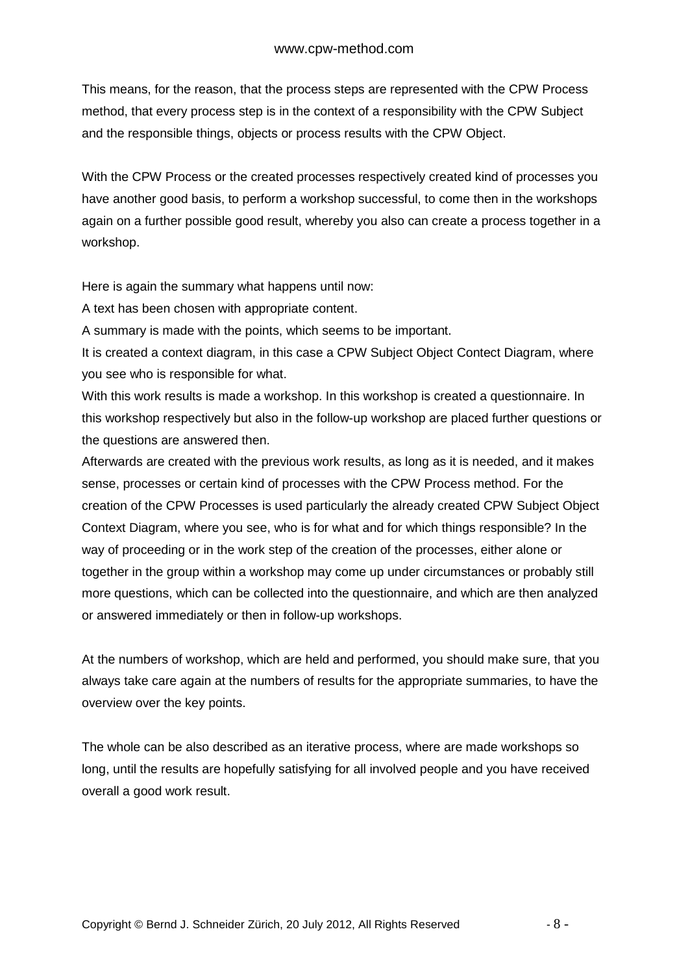This means, for the reason, that the process steps are represented with the CPW Process method, that every process step is in the context of a responsibility with the CPW Subject and the responsible things, objects or process results with the CPW Object.

With the CPW Process or the created processes respectively created kind of processes you have another good basis, to perform a workshop successful, to come then in the workshops again on a further possible good result, whereby you also can create a process together in a workshop.

Here is again the summary what happens until now:

A text has been chosen with appropriate content.

A summary is made with the points, which seems to be important.

It is created a context diagram, in this case a CPW Subject Object Contect Diagram, where you see who is responsible for what.

With this work results is made a workshop. In this workshop is created a questionnaire. In this workshop respectively but also in the follow-up workshop are placed further questions or the questions are answered then.

Afterwards are created with the previous work results, as long as it is needed, and it makes sense, processes or certain kind of processes with the CPW Process method. For the creation of the CPW Processes is used particularly the already created CPW Subject Object Context Diagram, where you see, who is for what and for which things responsible? In the way of proceeding or in the work step of the creation of the processes, either alone or together in the group within a workshop may come up under circumstances or probably still more questions, which can be collected into the questionnaire, and which are then analyzed or answered immediately or then in follow-up workshops.

At the numbers of workshop, which are held and performed, you should make sure, that you always take care again at the numbers of results for the appropriate summaries, to have the overview over the key points.

The whole can be also described as an iterative process, where are made workshops so long, until the results are hopefully satisfying for all involved people and you have received overall a good work result.